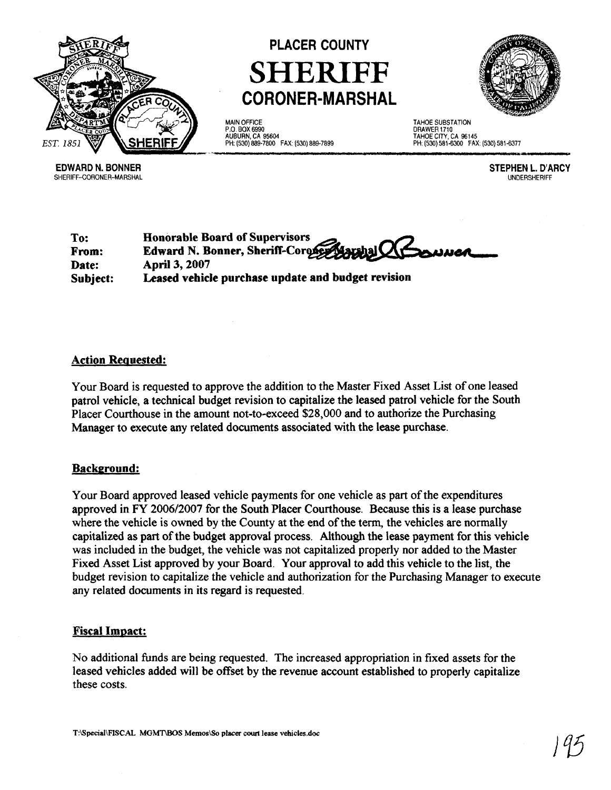



**MAIN** OFFICE P.O. BOX 6990 AUBURN, CA 95604 PH: (530) 889-7800 FAX: (530) 889-7899

TAHOE SUBSTATION DRAWER 1710 TAHOE CITY, CA 96145 PH: (530) 581 -6300 FAX: (530) 581 -6377

**EDWARD N. BONNER**  SHERIFF-CORONER-MARSHAL **STEPHEN L. D'ARCY**  UNDERSHERIFF

**To: Honorable Board of Supervisors From: Edward N. Bonner, Sheriff-Coroney Date: April 3,2007 Subject: Leased vehicle purchase update and budget revision** 

## **Action Reauested:**

Your Board is requested to approve the addition to the Master Fixed Asset List of one leased patrol vehicle, a technical budget revision to capitalize the leased patrol vehicle for the South Placer Courthouse in the amount not-to-exceed \$28,000 and to authorize the Purchasing Manager to execute any related documents associated with the lease purchase.

## **Background:**

Your Board approved leased vehicle payments for one vehicle as part of the expenditures approved in FY **2006/2007** for the South Placer Courthouse. Because this is a lease purchase where the vehicle is owned by the County at the end of the term, the vehicles are normally capitalized as part of the budget approval process. Although the lease payment for this vehicle was included in the budget, the vehicle was not capitalized properly nor added to the Master Fixed Asset List approved by your Board. Your approval to add this vehicle to the list, the budget revision to capitalize the vehicle and authorization for the Purchasing Manager to execute any related documents in its regard is requested.

## **Fiscal Impact:**

No additional funds are being requested. The increased appropriation in fixed assets for the leased vehicles added will be offset by the revenue account established to properly capitalize these costs.